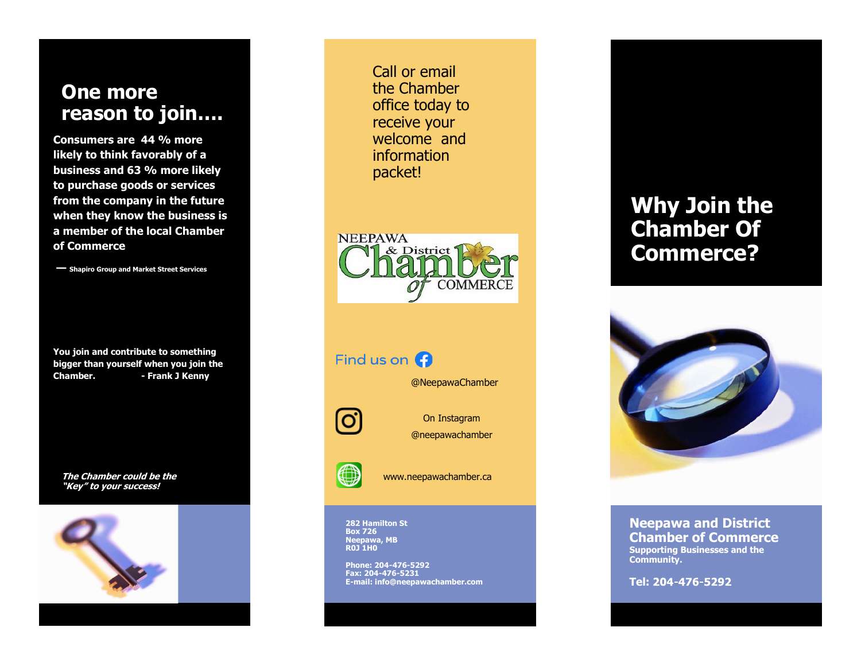## **One more reason to join….**

**Consumers are 44 % more likely to think favorably of a business and 63 % more likely to purchase goods or services from the company in the future when they know the business is a member of the local Chamber of Commerce**

**— Shapiro Group and Market Street Services**

**You join and contribute to something bigger than yourself when you join the Chamber. - Frank J Kenny**

**The Chamber could be the "Key" to your success!**



Call or email the Chamber office today to receive your welcome and information packet!



### Find us on  $\bigoplus$

@NeepawaChamber



On Instagram @neepawachamber



www.neepawachamber.ca

**282 Hamilton St Box 726 Neepawa, MB R0J 1H0**

**Phone: 204-476-5292 Fax: 204-476-5231 E-mail: info@neepawachamber.com**

# **Why Join the Chamber Of Commerce?**



**Neepawa and District Chamber of Commerce Supporting Businesses and the Community.**

**Tel:**